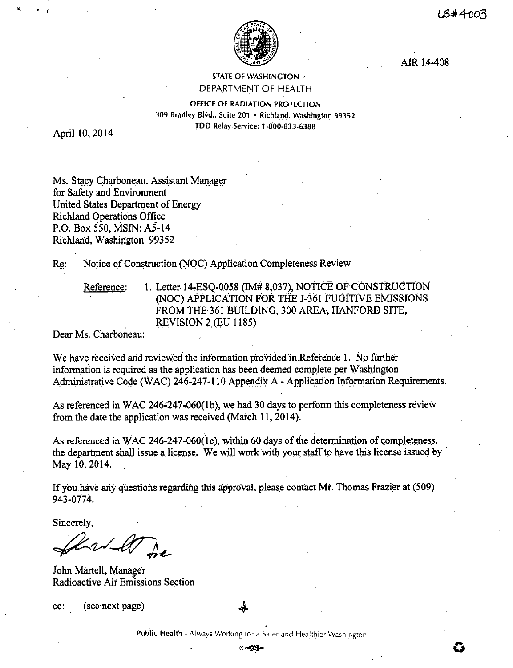

AIR 14-408

STATE OF WASHINGTON .· DEPARTMENT OF HEALTH

OFFICE OF RADIATION PROTECTION 309 Bradley Blvd., Suite 201 • Richland, Washington 99352 TDD Relay Service: 1-800-833-6388

April 10, 2014

Ms. Stacy Charboneau, Assistant Manager for Safety and Environment United States Department of Energy Richland Operations Office P.O. Box 550, **MSIN:** AS-14 Richland, Washington 99352

Re: Notice of Construction (NOC) Application Completeness Review.

Reference: 1. Letter 14-ESQ-0058 (IM# 8,037), NOTICE OF CONSTRUCTION (NOC) APPLICATION FOR THE J-361 FUGITIVE EMISSIONS FROM THE 361 BUILDING, 300 AREA, HANFORD SITE, REVISION 2 (EU 1185)

Dear Ms. Charboneau:

We have received and reviewed the information provided in.Reference I. No further information is required as the application has been deemed complete per W ashington. Administrative Code (WAC) 246-247-110 Appendix A - Application Information Requirements.

As referenced in WAC 246-247-060(1b), we had 30 days to perform this completeness review from the date the application was received (March 11, 2014).

As referenced in WAC 246-247-060(1c), within 60 days of the determination of completeness, the department shall issue a license. We will work with your staff to have this license issued by May 10, 2014.

If you have any questions regarding this approval, please contact Mr. Thomas Frazier at (509) 943-0774.

Sincerely,

 $-\sqrt{\frac{M}{m}}$ 

John Martell, Manager Radioactive Air Emissions Section

cc: ( see next page)

**Public Health** - Always Working for a Safer and Healthier Washington

©~- **0**